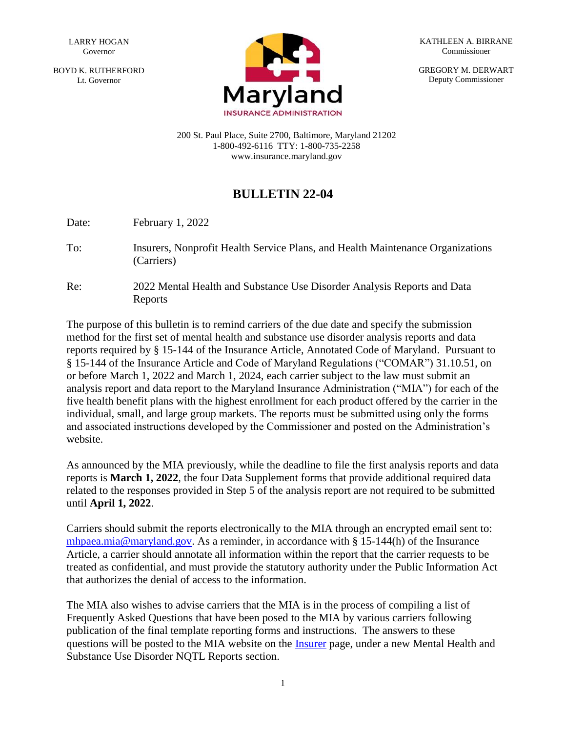BOYD K. RUTHERFORD Lt. Governor



KATHLEEN A. BIRRANE Commissioner

GREGORY M. DERWART Deputy Commissioner

200 St. Paul Place, Suite 2700, Baltimore, Maryland 21202 1-800-492-6116 TTY: 1-800-735-2258 www.insurance.maryland.gov

## **BULLETIN 22-04**

Date: February 1, 2022

- To: Insurers, Nonprofit Health Service Plans, and Health Maintenance Organizations (Carriers)
- Re: 2022 Mental Health and Substance Use Disorder Analysis Reports and Data Reports

The purpose of this bulletin is to remind carriers of the due date and specify the submission method for the first set of mental health and substance use disorder analysis reports and data reports required by § 15-144 of the Insurance Article, Annotated Code of Maryland. Pursuant to § 15-144 of the Insurance Article and Code of Maryland Regulations ("COMAR") 31.10.51, on or before March 1, 2022 and March 1, 2024, each carrier subject to the law must submit an analysis report and data report to the Maryland Insurance Administration ("MIA") for each of the five health benefit plans with the highest enrollment for each product offered by the carrier in the individual, small, and large group markets. The reports must be submitted using only the forms and associated instructions developed by the Commissioner and posted on the Administration's website.

As announced by the MIA previously, while the deadline to file the first analysis reports and data reports is **March 1, 2022**, the four Data Supplement forms that provide additional required data related to the responses provided in Step 5 of the analysis report are not required to be submitted until **April 1, 2022**.

Carriers should submit the reports electronically to the MIA through an encrypted email sent to: [mhpaea.mia@maryland.gov.](mailto:mhpaea.mia@maryland.gov) As a reminder, in accordance with § 15-144(h) of the Insurance Article, a carrier should annotate all information within the report that the carrier requests to be treated as confidential, and must provide the statutory authority under the Public Information Act that authorizes the denial of access to the information.

The MIA also wishes to advise carriers that the MIA is in the process of compiling a list of Frequently Asked Questions that have been posed to the MIA by various carriers following publication of the final template reporting forms and instructions. The answers to these questions will be posted to the MIA website on the [Insurer](https://insurance.maryland.gov/Insurer/Pages/default.aspx) page, under a new Mental Health and Substance Use Disorder NQTL Reports section.